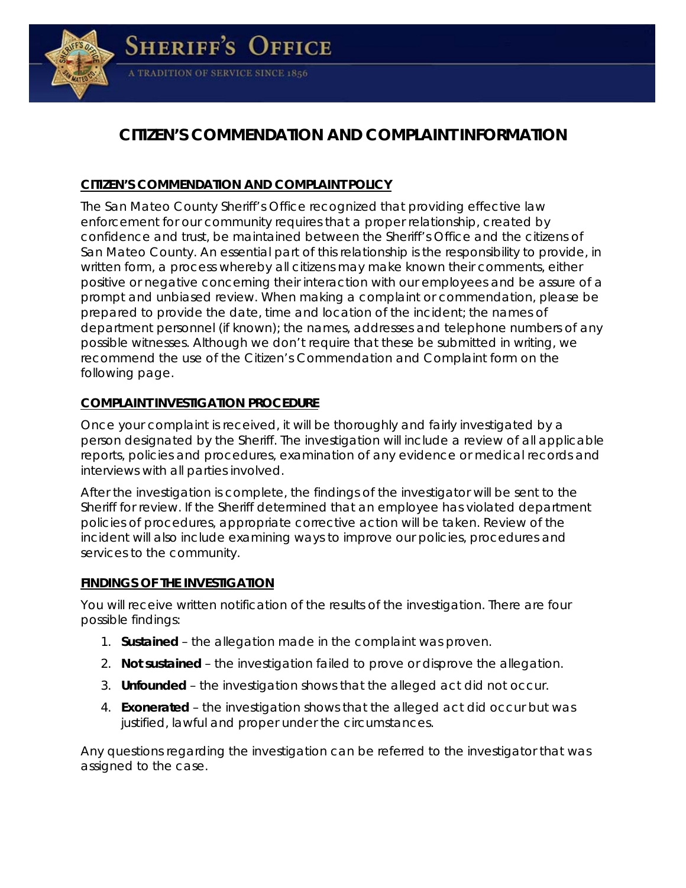

# **CITIZEN'S COMMENDATION AND COMPLAINT INFORMATION**

# *CITIZEN'S COMMENDATION AND COMPLAINT POLICY*

The San Mateo County Sheriff's Office recognized that providing effective law enforcement for our community requires that a proper relationship, created by confidence and trust, be maintained between the Sheriff's Office and the citizens of San Mateo County. An essential part of this relationship is the responsibility to provide, in written form, a process whereby all citizens may make known their comments, either positive or negative concerning their interaction with our employees and be assure of a prompt and unbiased review. When making a complaint or commendation, please be prepared to provide the date, time and location of the incident; the names of department personnel (if known); the names, addresses and telephone numbers of any possible witnesses. Although we don't require that these be submitted in writing, we recommend the use of the Citizen's Commendation and Complaint form on the following page.

### *COMPLAINT INVESTIGATION PROCEDURE*

Once your complaint is received, it will be thoroughly and fairly investigated by a person designated by the Sheriff. The investigation will include a review of all applicable reports, policies and procedures, examination of any evidence or medical records and interviews with all parties involved.

After the investigation is complete, the findings of the investigator will be sent to the Sheriff for review. If the Sheriff determined that an employee has violated department policies of procedures, appropriate corrective action will be taken. Review of the incident will also include examining ways to improve our policies, procedures and services to the community.

#### *FINDINGS OF THE INVESTIGATION*

You will receive written notification of the results of the investigation. There are four possible findings:

- 1. *Sustained* the allegation made in the complaint was proven.
- 2. *Not sustained*  the investigation failed to prove or disprove the allegation.
- 3. *Unfounded* the investigation shows that the alleged act did not occur.
- 4. *Exonerated* the investigation shows that the alleged act did occur but was justified, lawful and proper under the circumstances.

Any questions regarding the investigation can be referred to the investigator that was assigned to the case.